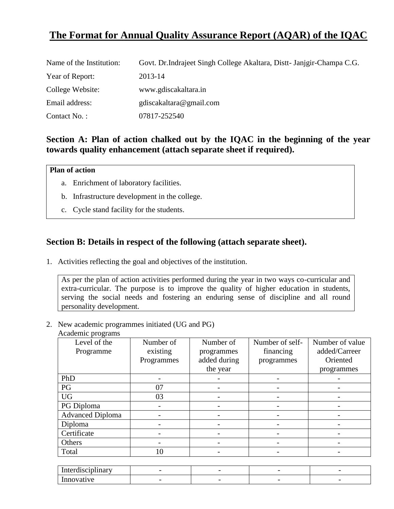# **The Format for Annual Quality Assurance Report (AQAR) of the IQAC**

| Name of the Institution: | Govt. Dr. Indrajeet Singh College Akaltara, Distt-Janigir-Champa C.G. |
|--------------------------|-----------------------------------------------------------------------|
| Year of Report:          | 2013-14                                                               |
| College Website:         | www.gdiscakaltara.in                                                  |
| Email address:           | gdiscakaltara@gmail.com                                               |
| Contact No.:             | 07817-252540                                                          |

## **Section A: Plan of action chalked out by the IQAC in the beginning of the year towards quality enhancement (attach separate sheet if required).**

#### **Plan of action**

- a. Enrichment of laboratory facilities.
- b. Infrastructure development in the college.
- c. Cycle stand facility for the students.

## **Section B: Details in respect of the following (attach separate sheet).**

1. Activities reflecting the goal and objectives of the institution.

As per the plan of action activities performed during the year in two ways co-curricular and extra-curricular. The purpose is to improve the quality of higher education in students, serving the social needs and fostering an enduring sense of discipline and all round personality development.

## 2. New academic programmes initiated (UG and PG)

| Academic programs |  |
|-------------------|--|
|-------------------|--|

| Level of the            | Number of  | Number of    | Number of self- | Number of value |
|-------------------------|------------|--------------|-----------------|-----------------|
| Programme               | existing   | programmes   | financing       | added/Carreer   |
|                         | Programmes | added during | programmes      | Oriented        |
|                         |            | the year     |                 | programmes      |
| PhD                     |            |              | -               |                 |
| PG                      | 07         |              |                 |                 |
| <b>UG</b>               | 03         |              |                 |                 |
| PG Diploma              |            |              |                 |                 |
| <b>Advanced Diploma</b> |            |              |                 |                 |
| Diploma                 |            |              | -               |                 |
| Certificate             |            |              |                 |                 |
| Others                  |            |              |                 |                 |
| Total                   | 10         |              |                 |                 |

| $\rightarrow$<br>- -<br>$-40.032$<br>uu | -                        |   | - |
|-----------------------------------------|--------------------------|---|---|
|                                         | $\overline{\phantom{0}}$ | - |   |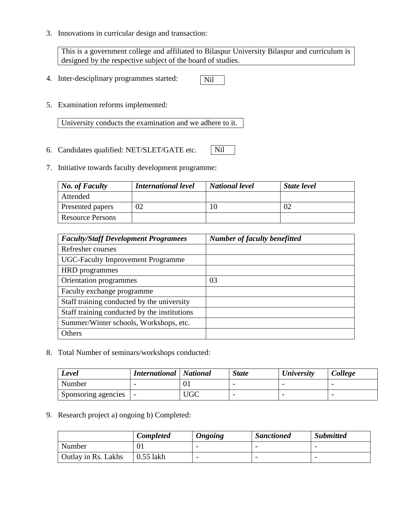3. Innovations in curricular design and transaction:

This is a government college and affiliated to Bilaspur University Bilaspur and curriculum is designed by the respective subject of the board of studies.

- 4. Inter-desciplinary programmes started: Nil
- 5. Examination reforms implemented:

University conducts the examination and we adhere to it.

- 6. Candidates qualified: NET/SLET/GATE etc. Nil
- 7. Initiative towards faculty development programme:

| $\vert$ No. of Faculty  | <b>International level</b> | <b>National level</b> | <b>State level</b> |
|-------------------------|----------------------------|-----------------------|--------------------|
| Attended                |                            |                       |                    |
| Presented papers        | 02                         |                       | OʻZ                |
| <b>Resource Persons</b> |                            |                       |                    |

| <b>Faculty/Staff Development Programees</b>  | <b>Number of faculty benefitted</b> |
|----------------------------------------------|-------------------------------------|
| Refresher courses                            |                                     |
| <b>UGC-Faculty Improvement Programme</b>     |                                     |
| <b>HRD</b> programmes                        |                                     |
| Orientation programmes                       | 03                                  |
| Faculty exchange programme                   |                                     |
| Staff training conducted by the university   |                                     |
| Staff training conducted by the institutions |                                     |
| Summer/Winter schools, Workshops, etc.       |                                     |
| Others                                       |                                     |

8. Total Number of seminars/workshops conducted:

| Level               | <b>International</b>   National |     | <b>State</b>             | <b><i>University</i></b> | College                  |
|---------------------|---------------------------------|-----|--------------------------|--------------------------|--------------------------|
| Number              |                                 | UΙ  |                          |                          | $\overline{\phantom{0}}$ |
| Sponsoring agencies |                                 | UGC | $\overline{\phantom{0}}$ |                          | $\overline{\phantom{0}}$ |

9. Research project a) ongoing b) Completed:

|                     | <b>Completed</b> | <b>Ongoing</b>           | <b>Sanctioned</b> | <b>Submitted</b> |
|---------------------|------------------|--------------------------|-------------------|------------------|
| Number              |                  |                          | -                 |                  |
| Outlay in Rs. Lakhs | $0.55$ lakh      | $\overline{\phantom{0}}$ |                   |                  |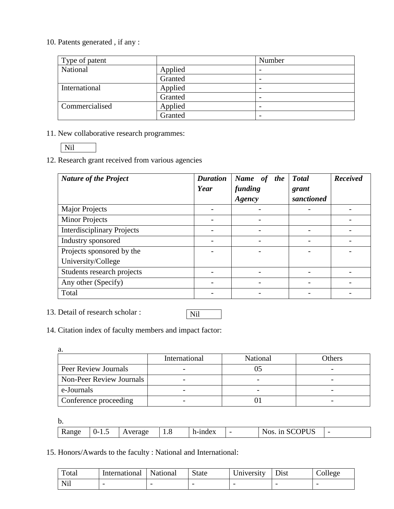10. Patents generated , if any :

| Type of patent |         | Number                   |
|----------------|---------|--------------------------|
| National       | Applied | $\overline{\phantom{0}}$ |
|                | Granted | $\overline{\phantom{0}}$ |
| International  | Applied |                          |
|                | Granted | $\overline{\phantom{a}}$ |
| Commercialised | Applied | $\overline{\phantom{a}}$ |
|                | Granted |                          |

11. New collaborative research programmes:

12. Research grant received from various agencies

| <b>Nature of the Project</b>      | <b>Duration</b><br>Year | Name of<br><i>the</i><br>funding<br>Agency | <b>Total</b><br>grant<br>sanctioned | <b>Received</b> |
|-----------------------------------|-------------------------|--------------------------------------------|-------------------------------------|-----------------|
| <b>Major Projects</b>             |                         |                                            |                                     |                 |
| <b>Minor Projects</b>             |                         |                                            |                                     |                 |
| <b>Interdisciplinary Projects</b> |                         |                                            |                                     |                 |
| Industry sponsored                |                         |                                            |                                     |                 |
| Projects sponsored by the         |                         |                                            |                                     |                 |
| University/College                |                         |                                            |                                     |                 |
| Students research projects        |                         |                                            |                                     |                 |
| Any other (Specify)               |                         |                                            |                                     |                 |
| Total                             |                         |                                            |                                     |                 |

13. Detail of research scholar :

## Nil

14. Citation index of faculty members and impact factor:

a.

|                          | International | <b>National</b> | Others                   |
|--------------------------|---------------|-----------------|--------------------------|
| Peer Review Journals     |               |                 |                          |
| Non-Peer Review Journals |               |                 | $\overline{\phantom{0}}$ |
| e-Journals               |               |                 |                          |
| Conference proceeding    |               |                 | $\overline{\phantom{0}}$ |

b.

| <b>Range</b> | U-<br> | verage | 1.8 | h-index | - | <b>IDITC</b><br>1n<br>Nos<br>``<br>◡⊾ | - |
|--------------|--------|--------|-----|---------|---|---------------------------------------|---|

15. Honors/Awards to the faculty : National and International:

| Total              | International | National | <b>State</b> | University               | Dist | $\cup$ ollege |
|--------------------|---------------|----------|--------------|--------------------------|------|---------------|
| Ni1<br><b>TATT</b> |               |          |              | $\overline{\phantom{0}}$ |      |               |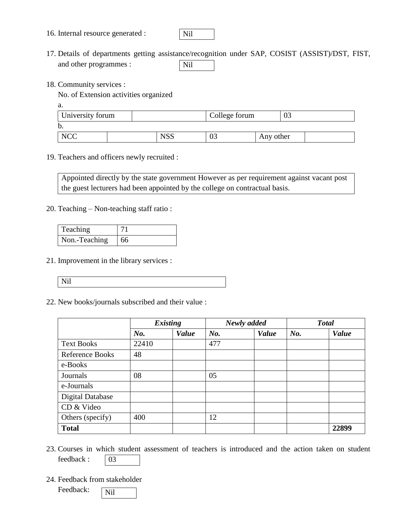16. Internal resource generated :



- 17. Details of departments getting assistance/recognition under SAP, COSIST (ASSIST)/DST, FIST, and other programmes : Nil
- 18. Community services :

No. of Extension activities organized

a.

| University forum |            | College forum |           | UĴ |  |
|------------------|------------|---------------|-----------|----|--|
| b.               |            |               |           |    |  |
| <b>NCC</b>       | <b>NSS</b> | 03            | Any other |    |  |

19. Teachers and officers newly recruited :

Appointed directly by the state government However as per requirement against vacant post the guest lecturers had been appointed by the college on contractual basis.

20. Teaching – Non-teaching staff ratio :

| Teaching      |    |
|---------------|----|
| Non.-Teaching | 66 |

- 21. Improvement in the library services :
	- Nil
- 22. New books/journals subscribed and their value :

|                         | <b>Existing</b> |       |     | Newly added |     | <b>Total</b> |
|-------------------------|-----------------|-------|-----|-------------|-----|--------------|
|                         | No.             | Value | No. | Value       | No. | Value        |
| <b>Text Books</b>       | 22410           |       | 477 |             |     |              |
| <b>Reference Books</b>  | 48              |       |     |             |     |              |
| e-Books                 |                 |       |     |             |     |              |
| Journals                | 08              |       | 05  |             |     |              |
| e-Journals              |                 |       |     |             |     |              |
| <b>Digital Database</b> |                 |       |     |             |     |              |
| CD & Video              |                 |       |     |             |     |              |
| Others (specify)        | 400             |       | 12  |             |     |              |
| <b>Total</b>            |                 |       |     |             |     | 22899        |

- 23. Courses in which student assessment of teachers is introduced and the action taken on student feedback : 03
- 24. Feedback from stakeholder

| Feedback: | N <sub>il</sub> |
|-----------|-----------------|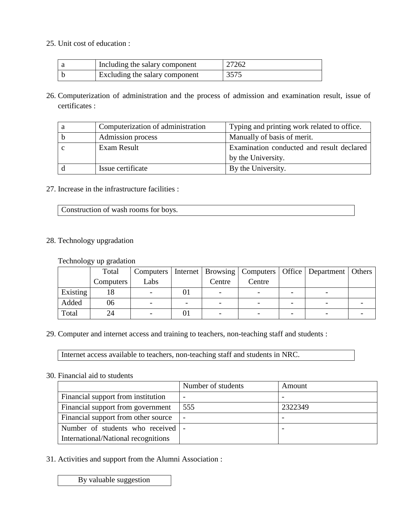25. Unit cost of education :

| Including the salary component | 27262 |
|--------------------------------|-------|
| Excluding the salary component | 3575  |

26. Computerization of administration and the process of admission and examination result, issue of certificates :

| а | Computerization of administration | Typing and printing work related to office. |
|---|-----------------------------------|---------------------------------------------|
| b | Admission process                 | Manually of basis of merit.                 |
|   | Exam Result                       | Examination conducted and result declared   |
|   |                                   | by the University.                          |
|   | Issue certificate                 | By the University.                          |

#### 27. Increase in the infrastructure facilities :

| Construction of wash rooms for boys. |
|--------------------------------------|
|                                      |
|                                      |

#### 28. Technology upgradation

Technology up gradation

|          | Total     |      |    |                          |        | Computers   Internet   Browsing   Computers   Office   Department   Others |  |
|----------|-----------|------|----|--------------------------|--------|----------------------------------------------------------------------------|--|
|          | Computers | Labs |    | Centre                   | Centre |                                                                            |  |
| Existing | 18        |      | vı | $\overline{\phantom{0}}$ |        |                                                                            |  |
| Added    | 06        |      |    |                          |        |                                                                            |  |
| Total    | 24        |      | UΙ |                          |        |                                                                            |  |

29. Computer and internet access and training to teachers, non-teaching staff and students :

Internet access available to teachers, non-teaching staff and students in NRC.

#### 30. Financial aid to students

|                                     | Number of students       | Amount  |
|-------------------------------------|--------------------------|---------|
| Financial support from institution  |                          |         |
| Financial support from government   | 555                      | 2322349 |
| Financial support from other source | $\overline{\phantom{a}}$ |         |
| Number of students who received  -  |                          |         |
| International/National recognitions |                          |         |

31. Activities and support from the Alumni Association :

By valuable suggestion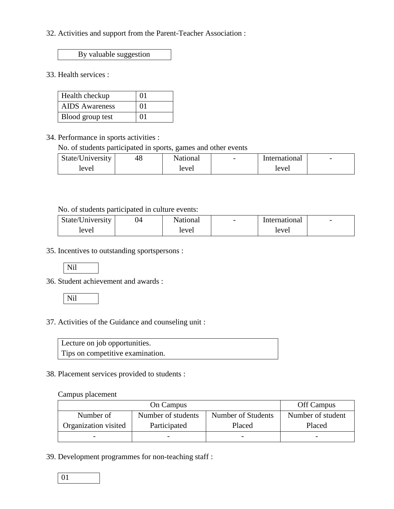32. Activities and support from the Parent-Teacher Association :

By valuable suggestion

33. Health services :

| Health checkup        | 01 |
|-----------------------|----|
| <b>AIDS</b> Awareness | 01 |
| Blood group test      | 01 |

34. Performance in sports activities :

No. of students participated in sports, games and other events

| State/University | 48 | National | $\overline{\phantom{0}}$ | International | $\overline{\phantom{a}}$ |
|------------------|----|----------|--------------------------|---------------|--------------------------|
| level            |    | level    |                          | level         |                          |

#### No. of students participated in culture events:

| State/University | 04 | <b>National</b> | $\overline{\phantom{0}}$ | International | $\overline{\phantom{0}}$ |
|------------------|----|-----------------|--------------------------|---------------|--------------------------|
| level            |    | level           |                          | level         |                          |

35. Incentives to outstanding sportspersons :

Nil

36. Student achievement and awards :

Nil

37. Activities of the Guidance and counseling unit :

| Lecture on job opportunities.    |  |
|----------------------------------|--|
| Tips on competitive examination. |  |

#### 38. Placement services provided to students :

#### Campus placement

| On Campus            |                    |                    | Off Campus        |
|----------------------|--------------------|--------------------|-------------------|
| Number of            | Number of students | Number of Students | Number of student |
| Organization visited | Participated       | Placed             | Placed            |
|                      |                    |                    |                   |

39. Development programmes for non-teaching staff :